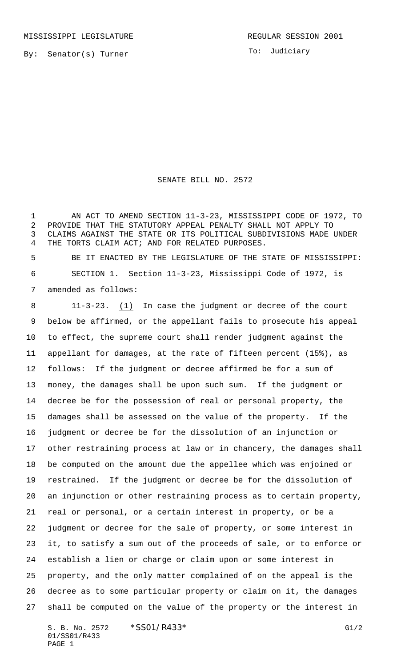To: Judiciary

## SENATE BILL NO. 2572

 AN ACT TO AMEND SECTION 11-3-23, MISSISSIPPI CODE OF 1972, TO PROVIDE THAT THE STATUTORY APPEAL PENALTY SHALL NOT APPLY TO CLAIMS AGAINST THE STATE OR ITS POLITICAL SUBDIVISIONS MADE UNDER THE TORTS CLAIM ACT; AND FOR RELATED PURPOSES.

 BE IT ENACTED BY THE LEGISLATURE OF THE STATE OF MISSISSIPPI: SECTION 1. Section 11-3-23, Mississippi Code of 1972, is amended as follows:

 11-3-23. (1) In case the judgment or decree of the court below be affirmed, or the appellant fails to prosecute his appeal to effect, the supreme court shall render judgment against the appellant for damages, at the rate of fifteen percent (15%), as follows: If the judgment or decree affirmed be for a sum of money, the damages shall be upon such sum. If the judgment or decree be for the possession of real or personal property, the damages shall be assessed on the value of the property. If the judgment or decree be for the dissolution of an injunction or other restraining process at law or in chancery, the damages shall be computed on the amount due the appellee which was enjoined or restrained. If the judgment or decree be for the dissolution of an injunction or other restraining process as to certain property, real or personal, or a certain interest in property, or be a judgment or decree for the sale of property, or some interest in it, to satisfy a sum out of the proceeds of sale, or to enforce or establish a lien or charge or claim upon or some interest in property, and the only matter complained of on the appeal is the decree as to some particular property or claim on it, the damages shall be computed on the value of the property or the interest in

S. B. No. 2572 \* SS01/R433\* G1/2 01/SS01/R433 PAGE 1